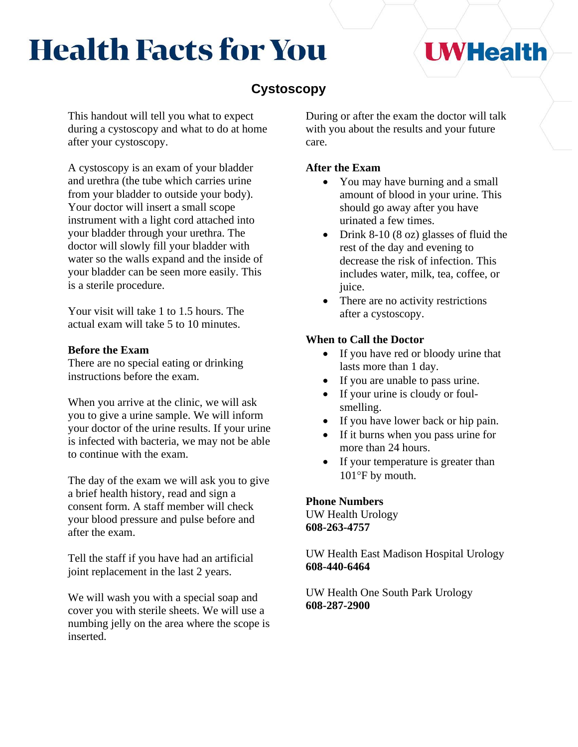# **Health Facts for You**

### **Cystoscopy**

This handout will tell you what to expect during a cystoscopy and what to do at home after your cystoscopy.

A cystoscopy is an exam of your bladder and urethra (the tube which carries urine from your bladder to outside your body). Your doctor will insert a small scope instrument with a light cord attached into your bladder through your urethra. The doctor will slowly fill your bladder with water so the walls expand and the inside of your bladder can be seen more easily. This is a sterile procedure.

Your visit will take 1 to 1.5 hours. The actual exam will take 5 to 10 minutes.

#### **Before the Exam**

There are no special eating or drinking instructions before the exam.

When you arrive at the clinic, we will ask you to give a urine sample. We will inform your doctor of the urine results. If your urine is infected with bacteria, we may not be able to continue with the exam.

The day of the exam we will ask you to give a brief health history, read and sign a consent form. A staff member will check your blood pressure and pulse before and after the exam.

Tell the staff if you have had an artificial joint replacement in the last 2 years.

We will wash you with a special soap and cover you with sterile sheets. We will use a numbing jelly on the area where the scope is inserted.

During or after the exam the doctor will talk with you about the results and your future care.

#### **After the Exam**

- You may have burning and a small amount of blood in your urine. This should go away after you have urinated a few times.
- Drink 8-10 (8 oz) glasses of fluid the rest of the day and evening to decrease the risk of infection. This includes water, milk, tea, coffee, or juice.
- There are no activity restrictions after a cystoscopy.

#### **When to Call the Doctor**

- If you have red or bloody urine that lasts more than 1 day.
- If you are unable to pass urine.
- If your urine is cloudy or foulsmelling.
- If you have lower back or hip pain.
- If it burns when you pass urine for more than 24 hours.
- If your temperature is greater than  $101^{\circ}$ F by mouth.

**Phone Numbers** UW Health Urology **608-263-4757**

UW Health East Madison Hospital Urology **608-440-6464**

UW Health One South Park Urology **608-287-2900**

## **UWHealth**